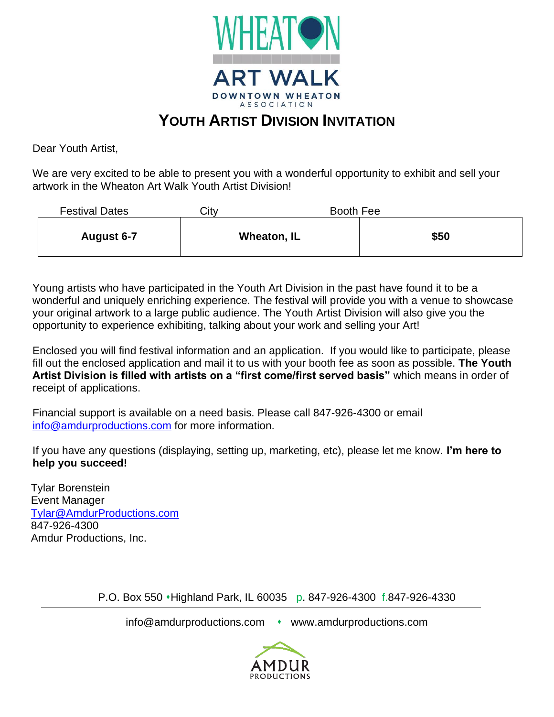

## **YOUTH ARTIST DIVISION INVITATION**

Dear Youth Artist,

We are very excited to be able to present you with a wonderful opportunity to exhibit and sell your artwork in the Wheaton Art Walk Youth Artist Division!

| <b>Festival Dates</b> | City | Booth Fee   |      |
|-----------------------|------|-------------|------|
| August 6-7            |      | Wheaton, IL | \$50 |

Young artists who have participated in the Youth Art Division in the past have found it to be a wonderful and uniquely enriching experience. The festival will provide you with a venue to showcase your original artwork to a large public audience. The Youth Artist Division will also give you the opportunity to experience exhibiting, talking about your work and selling your Art!

Enclosed you will find festival information and an application. If you would like to participate, please fill out the enclosed application and mail it to us with your booth fee as soon as possible. **The Youth Artist Division is filled with artists on a "first come/first served basis"** which means in order of receipt of applications.

Financial support is available on a need basis. Please call 847-926-4300 or email [info@amdurproductions.com](mailto:info@amdurproductions.com) for more information.

If you have any questions (displaying, setting up, marketing, etc), please let me know. **I'm here to help you succeed!**

Tylar Borenstein Event Manager [Tylar@AmdurProductions.com](mailto:Tylar@AmdurProductions.com) 847-926-4300 Amdur Productions, Inc.

P.O. Box 550 ⬧Highland Park, IL 60035 p. 847-926-4300 f.847-926-4330

info@amdurproductions.com • www.amdurproductions.com

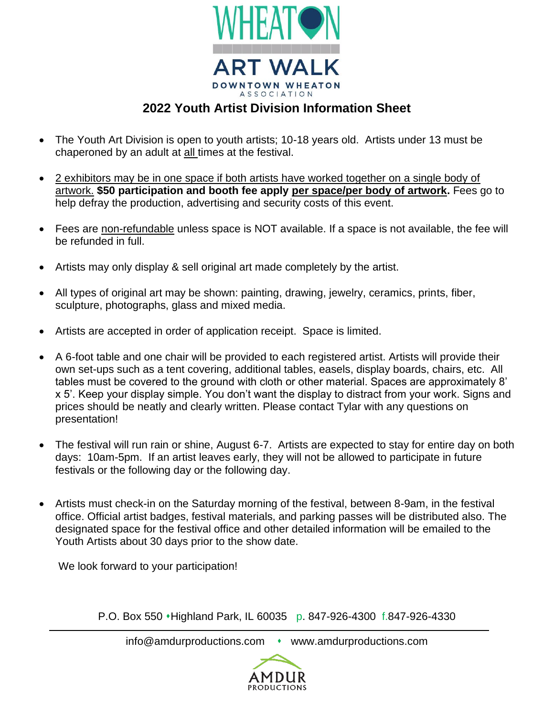

## **2022 Youth Artist Division Information Sheet**

- The Youth Art Division is open to youth artists; 10-18 years old. Artists under 13 must be chaperoned by an adult at all times at the festival.
- 2 exhibitors may be in one space if both artists have worked together on a single body of artwork. **\$50 participation and booth fee apply per space/per body of artwork.** Fees go to help defray the production, advertising and security costs of this event.
- Fees are non-refundable unless space is NOT available. If a space is not available, the fee will be refunded in full.
- Artists may only display & sell original art made completely by the artist.
- All types of original art may be shown: painting, drawing, jewelry, ceramics, prints, fiber, sculpture, photographs, glass and mixed media.
- Artists are accepted in order of application receipt. Space is limited.
- A 6-foot table and one chair will be provided to each registered artist. Artists will provide their own set-ups such as a tent covering, additional tables, easels, display boards, chairs, etc. All tables must be covered to the ground with cloth or other material. Spaces are approximately 8' x 5'. Keep your display simple. You don't want the display to distract from your work. Signs and prices should be neatly and clearly written. Please contact Tylar with any questions on presentation!
- The festival will run rain or shine, August 6-7. Artists are expected to stay for entire day on both days: 10am-5pm. If an artist leaves early, they will not be allowed to participate in future festivals or the following day or the following day.
- Artists must check-in on the Saturday morning of the festival, between 8-9am, in the festival office. Official artist badges, festival materials, and parking passes will be distributed also. The designated space for the festival office and other detailed information will be emailed to the Youth Artists about 30 days prior to the show date.

We look forward to your participation!

P.O. Box 550 ⬧Highland Park, IL 60035 p. 847-926-4300 f.847-926-4330

info@amdurproductions.com • www.amdurproductions.com